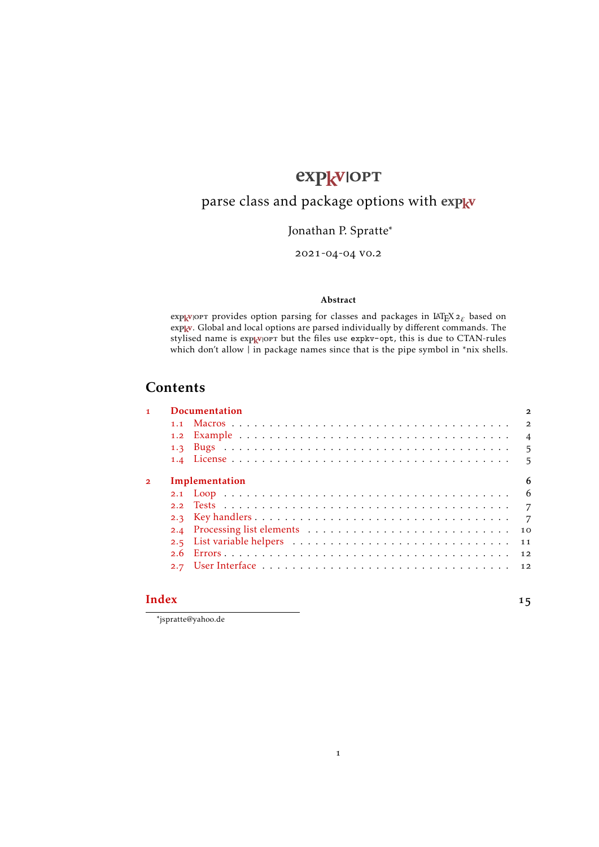# expkvlopt

## <span id="page-0-0"></span>parse class and package options with [expkv](https://github.com/Skillmon/tex_expkv)

## Jonathan P. Spratte<sup>\*</sup>

#### 2021-04-04 v0.2

#### Abstract

exp<sub>kV</sub>IOPT provides option parsing for classes and packages in LAT<sub>E</sub>X<sub>2ε</sub> based on exp<sub>k</sub>v. Global and local options are parsed individually by different commands. The stylised name is exp<sub>kVl</sub>ort but the files use [expkv-opt](https://github.com/Skillmon/tex_expkv-opt), this is due to CTAN-rules which don't allow | in package names since that is the pipe symbol in \*nix shells.

## Contents

| 1              | <b>Documentation</b> | 2              |
|----------------|----------------------|----------------|
|                |                      | $\overline{2}$ |
|                |                      | $\overline{4}$ |
|                |                      | $5^{\circ}$    |
|                |                      |                |
| $\overline{2}$ | Implementation       | 6              |
|                |                      |                |
|                |                      | $\overline{7}$ |
|                |                      | $\overline{7}$ |
|                |                      | 10             |
|                |                      | 11             |
|                |                      | 12             |
|                |                      |                |
|                |                      |                |

1

#### [Index](#page-14-0) and the set of the set of the set of the set of the set of the set of the set of the set of the set of the set of the set of the set of the set of the set of the set of the set of the set of the set of the set of the

\*jspratte@yahoo.de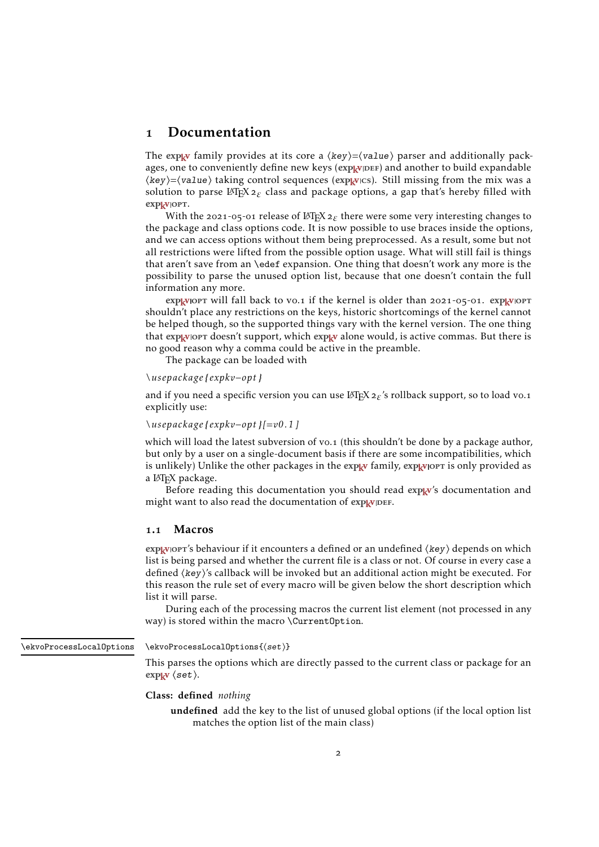## <span id="page-1-0"></span>1 Documentation

The exp<sub>k</sub>v family provides at its core a  $\langle key \rangle = \langle value \rangle$  parser and additionally packages, one to conveniently define new keys (exp<sub>kVIDEF</sub>) and another to build expandable  $\langle key \rangle = \langle value \rangle$  taking control sequences (exp<sub>kv</sub>/cs). Still missing from the mix was a solution to parse L<sup>AT</sup>EX<sub>2ε</sub> class and package options, a gap that's hereby filled with expkvlopt.

With the 2021-05-01 release of LATEX<sub>2 $ε$ </sub> there were some very interesting changes to the package and class options code. It is now possible to use braces inside the options, and we can access options without them being preprocessed. As a result, some but not all restrictions were lifted from the possible option usage. What will still fail is things that aren't save from an \edef expansion. One thing that doesn't work any more is the possibility to parse the unused option list, because that one doesn't contain the full information any more.

explator will fall back to vo.1 if the kernel is older than 2021-05-01. explator shouldn't place any restrictions on the keys, historic shortcomings of the kernel cannot be helped though, so the supported things vary with the kernel version. The one thing that  $exp<sub>K</sub>$  vorth doesn't support, which  $exp<sub>K</sub>$  alone would, is active commas. But there is no good reason why a comma could be active in the preamble.

The package can be loaded with

#### *\usepackage { expkv−opt}*

and if you need a specific version you can use LAT<sub>E</sub>X 2<sub>ε</sub>'s rollback support, so to load vo.1 explicitly use:

#### *\usepackage { expkv−opt}[=v0.1]*

which will load the latest subversion of vo.1 (this shouldn't be done by a package author, but only by a user on a single-document basis if there are some incompatibilities, which is unlikely) Unlike the other packages in the  $\exp_{\mathbf{k}} \mathbf{v}$  family,  $\exp_{\mathbf{k}} \mathbf{v}$  loopt is only provided as a IATEX package.

Before reading this documentation you should read  $exp<sub>k</sub>v's$  documentation and might want to also read the documentation of explay DEF.

#### <span id="page-1-1"></span>1.1 Macros

 $exp<sub>k</sub>$ vlopt's behaviour if it encounters a defined or an undefined  $\langle key \rangle$  depends on which list is being parsed and whether the current file is a class or not. Of course in every case a defined ⟨key⟩'s callback will be invoked but an additional action might be executed. For this reason the rule set of every macro will be given below the short description which list it will parse.

During each of the processing macros the current list element (not processed in any way) is stored within the macro \CurrentOption.

<span id="page-1-2"></span>\ekvoProcessLocalOptions

#### \ekvoProcessLocalOptions{⟨set⟩}

This parses the options which are directly passed to the current class or package for an [expkv](https://github.com/Skillmon/tex_expkv) ⟨set⟩.

#### Class: defined *nothing*

undefined add the key to the list of unused global options (if the local option list matches the option list of the main class)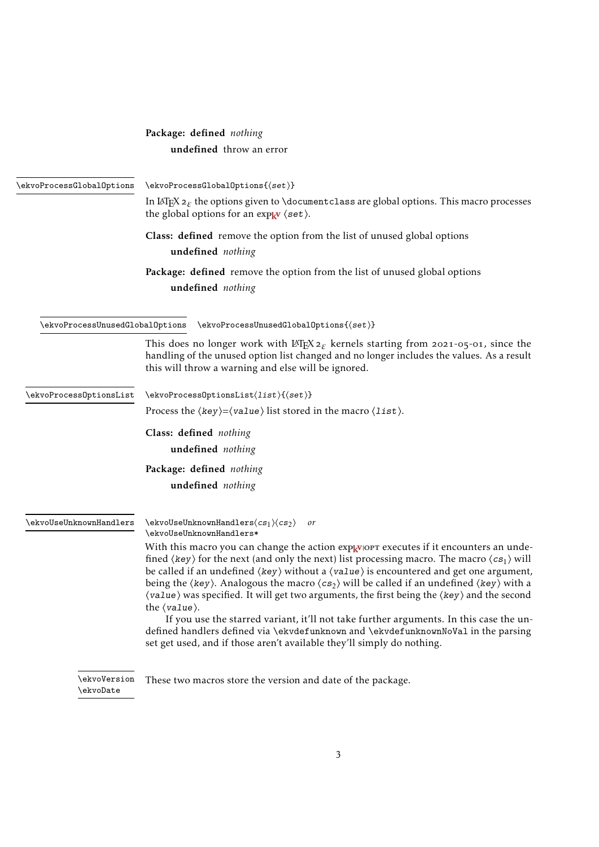<span id="page-2-3"></span><span id="page-2-2"></span><span id="page-2-1"></span>

|                                 | Package: defined nothing                                                                                                                                                                                                                                                                                                                                                                                                                                                                                                                                                                                                                                                                                                                                                        |
|---------------------------------|---------------------------------------------------------------------------------------------------------------------------------------------------------------------------------------------------------------------------------------------------------------------------------------------------------------------------------------------------------------------------------------------------------------------------------------------------------------------------------------------------------------------------------------------------------------------------------------------------------------------------------------------------------------------------------------------------------------------------------------------------------------------------------|
|                                 | undefined throw an error                                                                                                                                                                                                                                                                                                                                                                                                                                                                                                                                                                                                                                                                                                                                                        |
|                                 |                                                                                                                                                                                                                                                                                                                                                                                                                                                                                                                                                                                                                                                                                                                                                                                 |
| \ekvoProcessGlobalOptions       | $\text{ekv}$ oProcessGlobalOptions $\{\text{set}\}$                                                                                                                                                                                                                                                                                                                                                                                                                                                                                                                                                                                                                                                                                                                             |
|                                 | In LeT <sub>E</sub> X $2_{\varepsilon}$ the options given to \documentclass are global options. This macro processes<br>the global options for an $\exp_{\mathbf{k}^{\mathbf{V}}}$ $\langle \mathbf{set} \rangle$ .                                                                                                                                                                                                                                                                                                                                                                                                                                                                                                                                                             |
|                                 | Class: defined remove the option from the list of unused global options                                                                                                                                                                                                                                                                                                                                                                                                                                                                                                                                                                                                                                                                                                         |
|                                 | undefined nothing                                                                                                                                                                                                                                                                                                                                                                                                                                                                                                                                                                                                                                                                                                                                                               |
|                                 | Package: defined remove the option from the list of unused global options                                                                                                                                                                                                                                                                                                                                                                                                                                                                                                                                                                                                                                                                                                       |
|                                 | undefined nothing                                                                                                                                                                                                                                                                                                                                                                                                                                                                                                                                                                                                                                                                                                                                                               |
|                                 |                                                                                                                                                                                                                                                                                                                                                                                                                                                                                                                                                                                                                                                                                                                                                                                 |
| \ekvoProcessUnusedGlobalOptions | $\text{ekv}$ oProcessUnusedGlobalOptions $\{\text{set}\}$                                                                                                                                                                                                                                                                                                                                                                                                                                                                                                                                                                                                                                                                                                                       |
|                                 | This does no longer work with L <sup>T</sup> EX $2\varepsilon$ kernels starting from 2021-05-01, since the<br>handling of the unused option list changed and no longer includes the values. As a result<br>this will throw a warning and else will be ignored.                                                                                                                                                                                                                                                                                                                                                                                                                                                                                                                  |
| \ekvoProcessOptionsList         | \ekvoProcess0ptionsList(list){(set)}                                                                                                                                                                                                                                                                                                                                                                                                                                                                                                                                                                                                                                                                                                                                            |
|                                 | Process the $\langle key \rangle = \langle value \rangle$ list stored in the macro $\langle list \rangle$ .                                                                                                                                                                                                                                                                                                                                                                                                                                                                                                                                                                                                                                                                     |
|                                 | Class: defined nothing                                                                                                                                                                                                                                                                                                                                                                                                                                                                                                                                                                                                                                                                                                                                                          |
|                                 | undefined nothing                                                                                                                                                                                                                                                                                                                                                                                                                                                                                                                                                                                                                                                                                                                                                               |
|                                 | Package: defined nothing                                                                                                                                                                                                                                                                                                                                                                                                                                                                                                                                                                                                                                                                                                                                                        |
|                                 | undefined nothing                                                                                                                                                                                                                                                                                                                                                                                                                                                                                                                                                                                                                                                                                                                                                               |
| \ekvoUseUnknownHandlers         | $\text{kevoUseUnknownHandlers}\langle cs_1\rangle\langle cs_2\rangle$<br>or<br>\ekvoUseUnknownHandlers*                                                                                                                                                                                                                                                                                                                                                                                                                                                                                                                                                                                                                                                                         |
|                                 | With this macro you can change the action exp <sub>kVlOPT</sub> executes if it encounters an unde-<br>fined $\langle \text{key} \rangle$ for the next (and only the next) list processing macro. The macro $\langle \text{cs}_1 \rangle$ will<br>be called if an undefined $\langle \text{key} \rangle$ without a $\langle \text{value} \rangle$ is encountered and get one argument,<br>being the $\langle \text{key} \rangle$ . Analogous the macro $\langle \text{cs}_2 \rangle$ will be called if an undefined $\langle \text{key} \rangle$ with a<br>(value) was specified. It will get two arguments, the first being the (key) and the second<br>the $\langle value \rangle$ .<br>If you use the starred variant, it'll not take further arguments. In this case the un- |
|                                 | defined handlers defined via \ekvdefunknown and \ekvdefunknownNoVal in the parsing<br>set get used, and if those aren't available they'll simply do nothing.                                                                                                                                                                                                                                                                                                                                                                                                                                                                                                                                                                                                                    |
| \ekvoVersion                    | These two macros store the version and date of the package.                                                                                                                                                                                                                                                                                                                                                                                                                                                                                                                                                                                                                                                                                                                     |

<span id="page-2-4"></span><span id="page-2-0"></span>\ekvoDate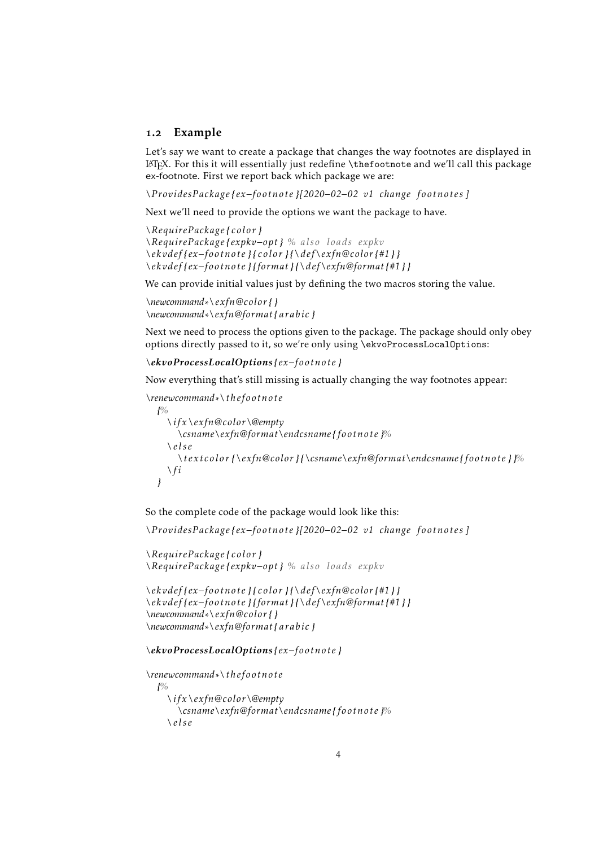#### <span id="page-3-0"></span>1.2 Example

Let's say we want to create a package that changes the way footnotes are displayed in LATEX. For this it will essentially just redefine \thefootnote and we'll call this package ex-footnote. First we report back which package we are:

*\ProvidesPackage { ex−footnote }[2020−02−02 v1 change footnotes ]*

Next we'll need to provide the options we want the package to have.

```
\RequirePackage { color}
\RequirePackage { expkv−opt} % also loads expkv
\ekvdef{ ex−footnote } { color} {\def\exfn@color{#1} }
\ekvdef{ ex−footnote } {format} {\def\exfn@format{#1} }
```
We can provide initial values just by defining the two macros storing the value.

```
\newcommand∗\exfn@color{ }
\newcommand∗\exfn@format{ arabic }
```
Next we need to process the options given to the package. The package should only obey options directly passed to it, so we're only using \ekvoProcessLocalOptions:

```
\ekvoProcessLocalOptions { ex−footnote }
```
Now everything that's still missing is actually changing the way footnotes appear:

```
\renewcommand∗\ thefootnote
  {%
    \ ifx \exfn@color\@empty
      \csname\exfn@format\endcsname { footnote }%
    \ else
      \textcolor {\exfn@color} {\csname\exfn@format\endcsname { footnote } }%
    \ f i
  }
```
So the complete code of the package would look like this:

*\ProvidesPackage { ex−footnote }[2020−02−02 v1 change footnotes ]*

```
\RequirePackage { color}
\RequirePackage { expkv−opt} % also loads expkv
```

```
\ekvdef{ ex−footnote } { color} {\def\exfn@color{#1} }
\ekvdef{ ex−footnote } {format} {\def\exfn@format{#1} }
\newcommand∗\exfn@color{ }
\newcommand∗\exfn@format{ arabic }
```
#### *\ekvoProcessLocalOptions { ex−footnote }*

```
\renewcommand∗\ thefootnote
  {%
    \ ifx \exfn@color\@empty
      \csname\exfn@format\endcsname { footnote }%
    \ else
```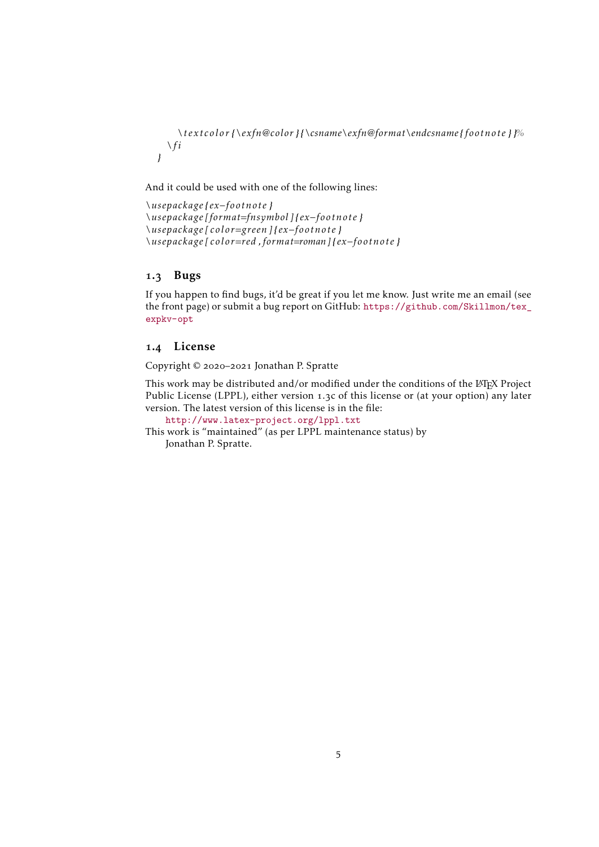*\textcolor {\exfn@color} {\csname\exfn@format\endcsname { footnote } }% \ f i }*

And it could be used with one of the following lines:

```
\usepackage { ex−footnote }
\usepackage [ format=fnsymbol ]{ ex−footnote }
\usepackage [ color=green ]{ ex−footnote }
\usepackage [ color=red , format=roman]{ ex−footnote }
```
#### <span id="page-4-0"></span>1.3 Bugs

If you happen to find bugs, it'd be great if you let me know. Just write me an email (see the front page) or submit a bug report on GitHub: [https://github.com/Skillmon/tex\\_](https://github.com/Skillmon/tex_expkv-opt) [expkv-opt](https://github.com/Skillmon/tex_expkv-opt)

#### <span id="page-4-1"></span>1.4 License

Copyright © 2020–2021 Jonathan P. Spratte

This work may be distributed and/or modified under the conditions of the LATEX Project Public License (LPPL), either version 1.3c of this license or (at your option) any later version. The latest version of this license is in the file:

<http://www.latex-project.org/lppl.txt>

This work is "maintained" (as per LPPL maintenance status) by Jonathan P. Spratte.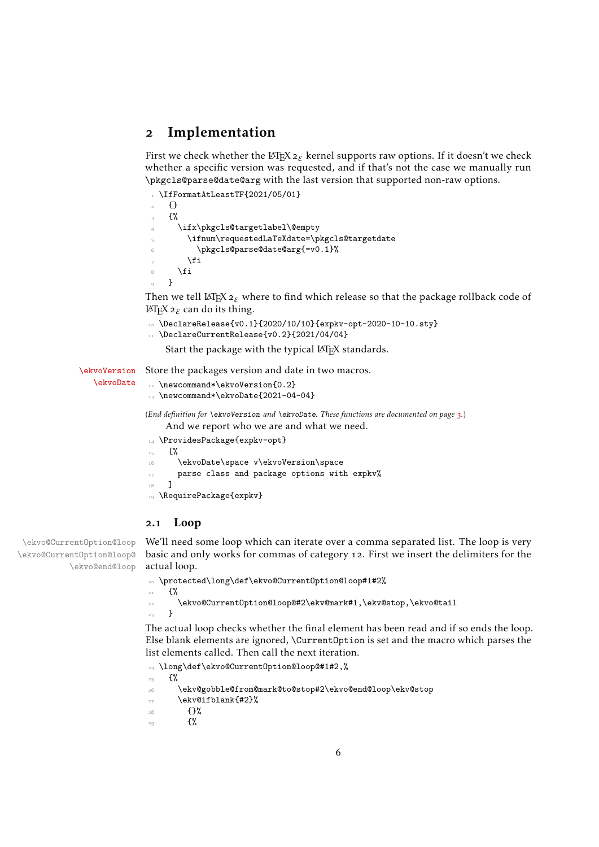## <span id="page-5-0"></span>2 Implementation

First we check whether the LATEX2*ε* kernel supports raw options. If it doesn't we check whether a specific version was requested, and if that's not the case we manually run \pkgcls@parse@date@arg with the last version that supported non-raw options.

```
1 \IfFormatAtLeastTF{2021/05/01}
    2 {}
    3 {%
      \ifx\pkgcls@targetlabel\@empty
         \ifnum\requestedLaTeXdate=\pkgcls@targetdate
           \pkgcls@parse@date@arg{=v0.1}%
         \chifi
8 \overline{\ } \}\circ }
```
Then we tell L<sup>AT</sup>E<sup>X</sup> 2<sub>ε</sub> where to find which release so that the package rollback code of LATEX2*ε* can do its thing.

```
10 \DeclareRelease{v0.1}{2020/10/10}{expkv-opt-2020-10-10.sty}
11 \DeclareCurrentRelease{v0.2}{2021/04/04}
    Start the package with the typical LATEX standards.
```
[\ekvoVersion](#page-2-0) Store the packages version and date in two macros.

```
12 \newcommand*\ekvoVersion{0.2}
13 \newcommand*\ekvoDate{2021-04-04}
(End definition for \ekvoVersion and \ekvoDate. These functions are documented on page 3.)
```
And we report who we are and what we need.

```
14 \ProvidesPackage{expkv-opt}
\overline{\phantom{a}} \overline{\phantom{a}} \overline{\phantom{a}} \overline{\phantom{a}} \overline{\phantom{a}} \overline{\phantom{a}} \overline{\phantom{a}} \overline{\phantom{a}} \overline{\phantom{a}} \overline{\phantom{a}} \overline{\phantom{a}} \overline{\phantom{a}} \overline{\phantom{a}} \overline{\phantom{a}} \overline{\phantom{a}} \overline{\phantom{a}} \overline{\phantom{a}} \overline{\phantom{a}} \overline{\16 \ekvoDate\space v\ekvoVersion\space
17 parse class and package options with expkv%
18 \quad 719 \RequirePackage{expkv}
```
#### <span id="page-5-7"></span><span id="page-5-1"></span>2.1 Loop

[\ekvoDate](#page-2-0)

\ekvo@CurrentOption@loop \ekvo@CurrentOption@loop@

\ekvo@end@loop We'll need some loop which can iterate over a comma separated list. The loop is very basic and only works for commas of category 12. First we insert the delimiters for the actual loop.

```
20 \protected\long\def\ekvo@CurrentOption@loop#1#2%
```
 $21$  {%

```
22 \ekvo@CurrentOption@loop@#2\ekv@mark#1,\ekv@stop,\ekvo@tail
```
 $23$ 

The actual loop checks whether the final element has been read and if so ends the loop. Else blank elements are ignored, \CurrentOption is set and the macro which parses the list elements called. Then call the next iteration.

```
24 \long\def\ekvo@CurrentOption@loop@#1#2,%
```

```
25 \frac{1}{6}
```

```
26 \ekv@gobble@from@mark@to@stop#2\ekvo@end@loop\ekv@stop
```

```
27 \ekv@ifblank{#2}%
```

```
28 \{ \}%
```

```
29 \left\{\frac{9}{6}\right\}
```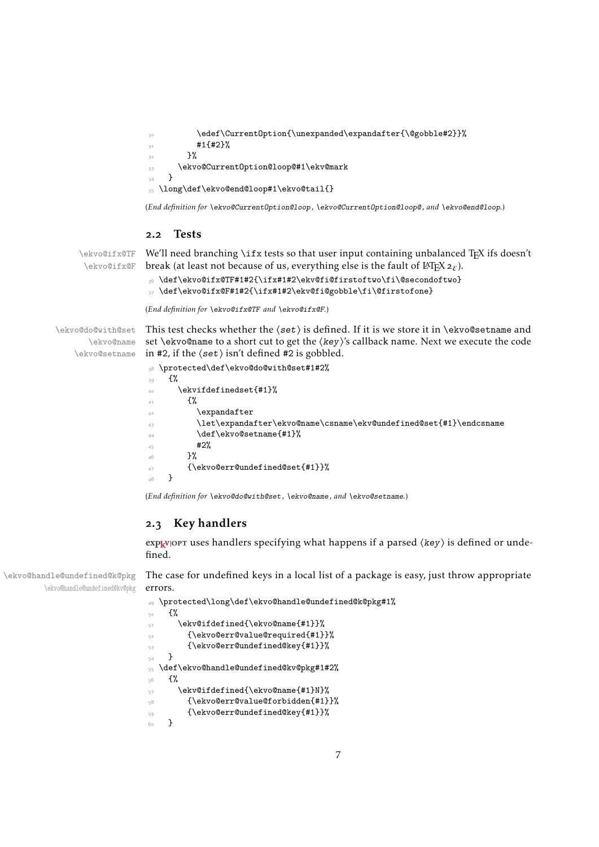```
\edef\CurrentOption{\unexpanded\expandafter{\@gobble#2}}%
31 \text{#1{+2}\overline{22} \overline{22}33 \ekvo@CurrentOption@loop@#1\ekv@mark
34 }
35 \long\def\ekvo@end@loop#1\ekvo@tail{}
```
<span id="page-6-18"></span>(*End definition for* \ekvo@CurrentOption@loop *,* \ekvo@CurrentOption@loop@ *, and* \ekvo@end@loop*.*)

#### <span id="page-6-17"></span><span id="page-6-0"></span>2.2 Tests

\ekvo@ifx@TF \ekvo@ifx@F

We'll need branching  $\iota$ ifx tests so that user input containing unbalanced T<sub>E</sub>X ifs doesn't break (at least not because of us, everything else is the fault of  $\mathbb{E}[\mathbb{E}[X] \mathbb{E}_\mathcal{E}]$ ).

<span id="page-6-4"></span><sup>36</sup> \def\ekvo@ifx@TF#1#2{\ifx#1#2\ekv@fi@firstoftwo\fi\@secondoftwo}

<span id="page-6-5"></span><sup>37</sup> \def\ekvo@ifx@F#1#2{\ifx#1#2\ekv@fi@gobble\fi\@firstofone}

<span id="page-6-10"></span>(*End definition for* \ekvo@ifx@TF *and* \ekvo@ifx@F*.*)

\ekvo@do@with@set \ekvo@name \ekvo@setname This test checks whether the  $\langle set \rangle$  is defined. If it is we store it in \ekvo@setname and set \ekvo@name to a short cut to get the ⟨key⟩'s callback name. Next we execute the code in #2, if the  $\langle set \rangle$  isn't defined #2 is gobbled.

```
38 \protected\def\ekvo@do@with@set#1#2%
39 \frac{1}{2}40 \ekvifdefinedset{#1}%
41 \{ \%42 \expandafter
43 \let\expandafter\ekvo@name\csname\ekv@undefined@set{#1}\endcsname
\det\text{Qsetname} +1}%
45 \frac{42}{6}46 }%
_{47} {\ekvo@err@undefined@set{#1}}%
48 }
```
<span id="page-6-13"></span>(*End definition for* \ekvo@do@with@set *,* \ekvo@name *, and* \ekvo@setname*.*)

#### <span id="page-6-1"></span>2.3 Key handlers

exp<sub>kv</sub>opt uses handlers specifying what happens if a parsed  $\langle key \rangle$  is defined or undefined.

\ekvo@handle@undefined@k@pkg \ekvo@handle@undefined@kv@pkg The case for undefined keys in a local list of a package is easy, just throw appropriate errors.

```
49 \protected\long\def\ekvo@handle@undefined@k@pkg#1%
50 \frac{1}{20}51 \ekv@ifdefined{\ekvo@name{#1}}%
52 {\ekvo@err@value@required{#1}}%
53 {\ekvo@err@undefined@key{#1}}%
54 }
55 \def\ekvo@handle@undefined@kv@pkg#1#2%
56 \frac{5}{20}57 \ekv@ifdefined{\ekvo@name{#1}N}%
58 {\ekvo@err@value@forbidden{#1}}%
59 {\ekvo@err@undefined@key{#1}}%
60 }
```
<span id="page-6-14"></span><span id="page-6-12"></span><span id="page-6-11"></span><span id="page-6-7"></span>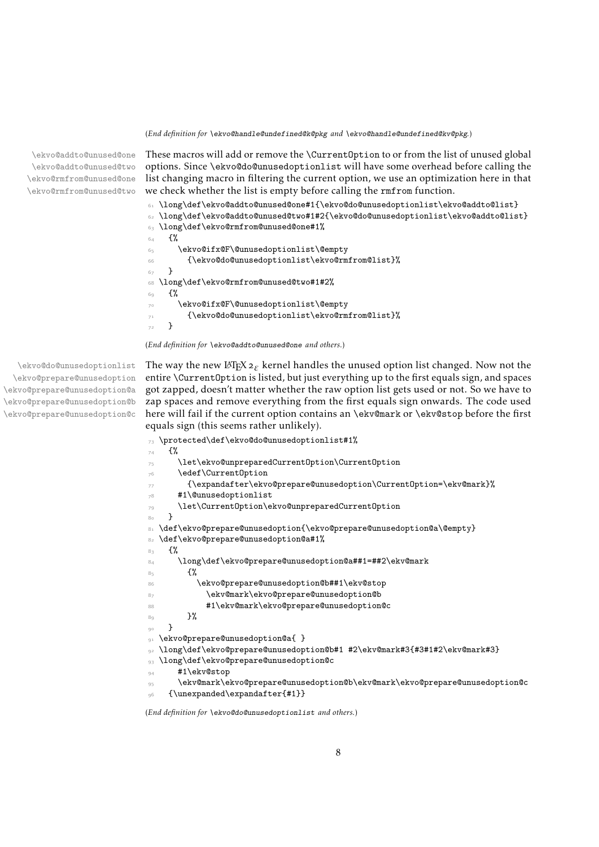(*End definition for* \ekvo@handle@undefined@k@pkg *and* \ekvo@handle@undefined@kv@pkg*.*)

\ekvo@addto@unused@one \ekvo@addto@unused@two \ekvo@rmfrom@unused@one \ekvo@rmfrom@unused@two

<span id="page-7-13"></span>These macros will add or remove the \CurrentOption to or from the list of unused global options. Since \ekvo@do@unusedoptionlist will have some overhead before calling the list changing macro in filtering the current option, we use an optimization here in that we check whether the list is empty before calling the rmfrom function.

<span id="page-7-11"></span><sup>61</sup> \long\def\ekvo@addto@unused@one#1{\ekvo@do@unusedoptionlist\ekvo@addto@list}

```
62 \long\def\ekvo@addto@unused@two#1#2{\ekvo@do@unusedoptionlist\ekvo@addto@list}
63 \long\def\ekvo@rmfrom@unused@one#1%
64 \frac{100}{100}65 \ekvo@ifx@F\@unusedoptionlist\@empty
66 {\ekvo@do@unusedoptionlist\ekvo@rmfrom@list}%
67 }
68 \long\def\ekvo@rmfrom@unused@two#1#2%
69 - 1\ekvo@ifx@F\@unusedoptionlist\@empty
71 {\ekvo@do@unusedoptionlist\ekvo@rmfrom@list}%
    \overline{2}
```
<span id="page-7-18"></span><span id="page-7-15"></span>(*End definition for* \ekvo@addto@unused@one *and others.*)

\ekvo@do@unusedoptionlist \ekvo@prepare@unusedoption \ekvo@prepare@unusedoption@a \ekvo@prepare@unusedoption@b \ekvo@prepare@unusedoption@c <span id="page-7-16"></span>The way the new L<sup>T</sup>EX  $2\varepsilon$  kernel handles the unused option list changed. Now not the entire \CurrentOption is listed, but just everything up to the first equals sign, and spaces got zapped, doesn't matter whether the raw option list gets used or not. So we have to zap spaces and remove everything from the first equals sign onwards. The code used here will fail if the current option contains an \ekv@mark or \ekv@stop before the first equals sign (this seems rather unlikely).

```
73 \protected\def\ekvo@do@unusedoptionlist#1%
74 \frac{\mathrm{s}}{\mathrm{s}}75 \let\ekvo@unpreparedCurrentOption\CurrentOption
      \edef\CurrentOption
        77 {\expandafter\ekvo@prepare@unusedoption\CurrentOption=\ekv@mark}%
78 #1\@unusedoptionlist
      \let\CurrentOption\ekvo@unpreparedCurrentOption
80 \text{ } }
81 \def\ekvo@prepare@unusedoption{\ekvo@prepare@unusedoption@a\@empty}
82 \def\ekvo@prepare@unusedoption@a#1%
83 f%
84 \long\def\ekvo@prepare@unusedoption@a##1=##2\ekv@mark
85 \{ \%86 \ekvo@prepare@unusedoption@b##1\ekv@stop
87 \ekv@mark\ekvo@prepare@unusedoption@b
88 #1\ekv@mark\ekvo@prepare@unusedoption@c
80 - 3\mathcal{F}91 \ekvo@prepare@unusedoption@a{ }
  92 \long\def\ekvo@prepare@unusedoption@b#1 #2\ekv@mark#3{#3#1#2\ekv@mark#3}
93 \long\def\ekvo@prepare@unusedoption@c
_{94} #1\ekv@stop
95 \ekv@mark\ekvo@prepare@unusedoption@b\ekv@mark\ekvo@prepare@unusedoption@c
    96 {\unexpanded\expandafter{#1}}
```
<span id="page-7-10"></span><span id="page-7-9"></span><span id="page-7-8"></span><span id="page-7-7"></span><span id="page-7-6"></span><span id="page-7-5"></span>(*End definition for* \ekvo@do@unusedoptionlist *and others.*)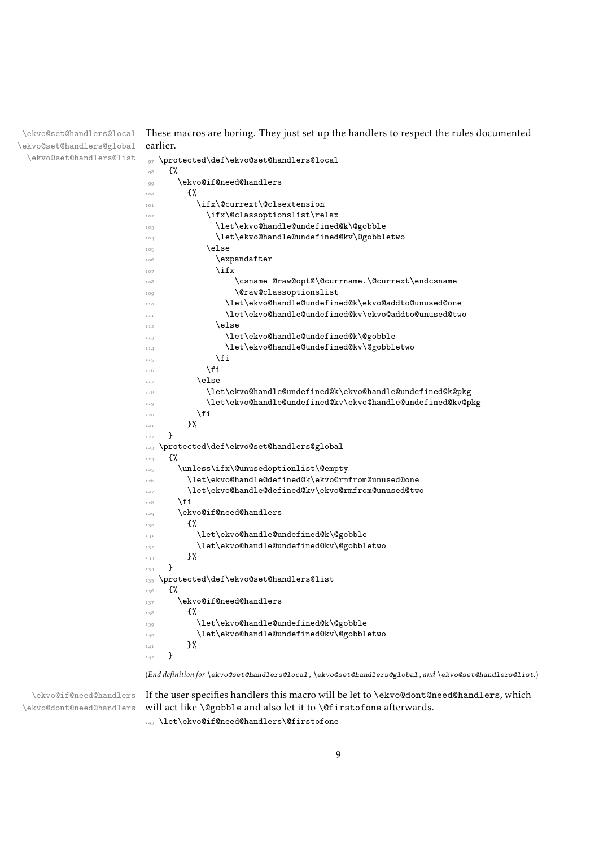\ekvo@set@handlers@local \ekvo@set@handlers@global \ekvo@set@handlers@list

<span id="page-8-18"></span>These macros are boring. They just set up the handlers to respect the rules documented earlier.

```
97 \protected\def\ekvo@set@handlers@local
\frac{1}{2} \frac{1}{2}99 \ekvo@if@need@handlers
100 \frac{1}{200}101 \ifx\@currext\@clsextension
102 \ifx\@classoptionslist\relax
103 \let\ekvo@handle@undefined@k\@gobble
104 \let\ekvo@handle@undefined@kv\@gobbletwo
105 \else
106 \expandafter
\frac{107}{107} \ifx
108 \csname @raw@opt@\@currname.\@currext\endcsname
109 \@raw@classoptionslist
               \let\ekvo@handle@undefined@k\ekvo@addto@unused@one
111 \let\ekvo@handle@undefined@kv\ekvo@addto@unused@two
112 \else
113 \let\ekvo@handle@undefined@k\@gobble
114 \let\ekvo@handle@undefined@kv\@gobbletwo
\frac{115}{115} \fi
\overline{\text{116}} \fi
117 \else
118 \let\ekvo@handle@undefined@k\ekvo@handle@undefined@k@pkg
119 \let\ekvo@handle@undefined@kv\ekvo@handle@undefined@kv@pkg
\int fi<sub>20</sub> \int121 }%
122 }
123 \protected\def\ekvo@set@handlers@global
124 \{ \%125 \unless\ifx\@unusedoptionlist\@empty
126 \let\ekvo@handle@defined@k\ekvo@rmfrom@unused@one
127 \let\ekvo@handle@defined@kv\ekvo@rmfrom@unused@two
128 \fi
129 \ekvo@if@need@handlers
130 \{%131 \let\ekvo@handle@undefined@k\@gobble
132 \let\ekvo@handle@undefined@kv\@gobbletwo
133 }%
134 }
135 \protected\def\ekvo@set@handlers@list
136 {%
137 \ekvo@if@need@handlers
138 \{ \%139 \let\ekvo@handle@undefined@k\@gobble
140 \let\ekvo@handle@undefined@kv\@gobbletwo
\begin{array}{cc} \n\frac{1}{41} & & \n\end{array}142
```
<span id="page-8-17"></span><span id="page-8-16"></span><span id="page-8-14"></span><span id="page-8-13"></span><span id="page-8-9"></span><span id="page-8-8"></span><span id="page-8-4"></span><span id="page-8-3"></span>(*End definition for* \ekvo@set@handlers@local *,* \ekvo@set@handlers@global *, and* \ekvo@set@handlers@list*.*)

\ekvo@if@need@handlers \ekvo@dont@need@handlers <span id="page-8-2"></span>If the user specifies handlers this macro will be let to \ekvo@dont@need@handlers, which will act like \@gobble and also let it to \@firstofone afterwards.

143 \let\ekvo@if@need@handlers\@firstofone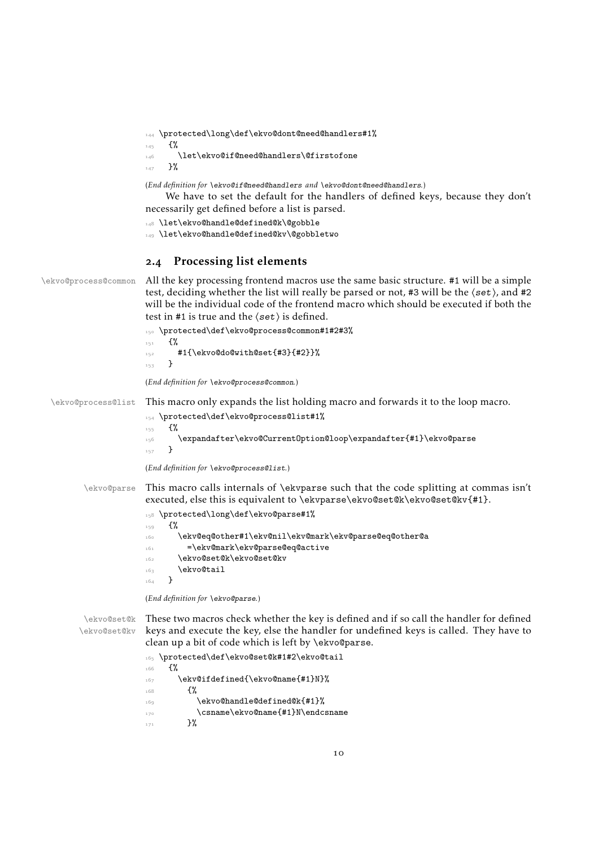<sup>144</sup> \protected\long\def\ekvo@dont@need@handlers#1%

```
145 \frac{1}{8}
```

```
146 \let\ekvo@if@need@handlers\@firstofone
```
 $147$  }%

(*End definition for* \ekvo@if@need@handlers *and* \ekvo@dont@need@handlers*.*)

We have to set the default for the handlers of defined keys, because they don't necessarily get defined before a list is parsed.

<span id="page-9-6"></span>148 \let\ekvo@handle@defined@k\@gobble

<span id="page-9-8"></span>149 \let\ekvo@handle@defined@kv\@gobbletwo

#### <span id="page-9-12"></span><span id="page-9-11"></span><span id="page-9-10"></span><span id="page-9-5"></span><span id="page-9-4"></span><span id="page-9-0"></span>2.4 Processing list elements

```
\ekvo@process@common All the key processing frontend macros use the same basic structure. #1 will be a simple
                        test, deciding whether the list will really be parsed or not, #3 will be the \langleset\rangle, and #2
                       will be the individual code of the frontend macro which should be executed if both the
                       test in #1 is true and the ⟨set⟩ is defined.
                        150 \protected\def\ekvo@process@common#1#2#3%
                       151 \{ \%_{152} #1{\ekvo@do@with@set{#3}{#2}}%
                       153 }
                       (End definition for \ekvo@process@common.)
  \ekvo@process@list This macro only expands the list holding macro and forwards it to the loop macro.
                       154 \protected\def\ekvo@process@list#1%
                        155 {%
                       156 \expandafter\ekvo@CurrentOption@loop\expandafter{#1}\ekvo@parse
                        157 - P(End definition for \ekvo@process@list.)
         \ekvo@parse This macro calls internals of \ekvparse such that the code splitting at commas isn't
                       executed, else this is equivalent to \ekvparse\ekvo@set@k\ekvo@set@kv{#1}.
                        158 \protected\long\def\ekvo@parse#1%
                       159 \frac{1}{8}160 \ekv@eq@other#1\ekv@nil\ekv@mark\ekv@parse@eq@other@a
                        161 =\ekv@mark\ekv@parse@eq@active
                        162 \ekvo@set@k\ekvo@set@kv
                       \begin{array}{c} \n\text{163} \\
\text{164} \\
\end{array} \ekvo@tail
                        164 }
                       (End definition for \ekvo@parse.)
         \ekvo@set@k
These two macros check whether the key is defined and if so call the handler for defined
        \ekvo@set@kv
                       keys and execute the key, else the handler for undefined keys is called. They have to
                       clean up a bit of code which is left by \ekvo@parse.
                        165 \protected\def\ekvo@set@k#1#2\ekvo@tail
                       166 \frac{1}{2}167 \ekv@ifdefined{\ekvo@name{#1}N}%
                        168 \{%
                       169 \ekvo@handle@defined@k{#1}%
                        170 \csname\ekvo@name{#1}N\endcsname
```

```
171 }%
```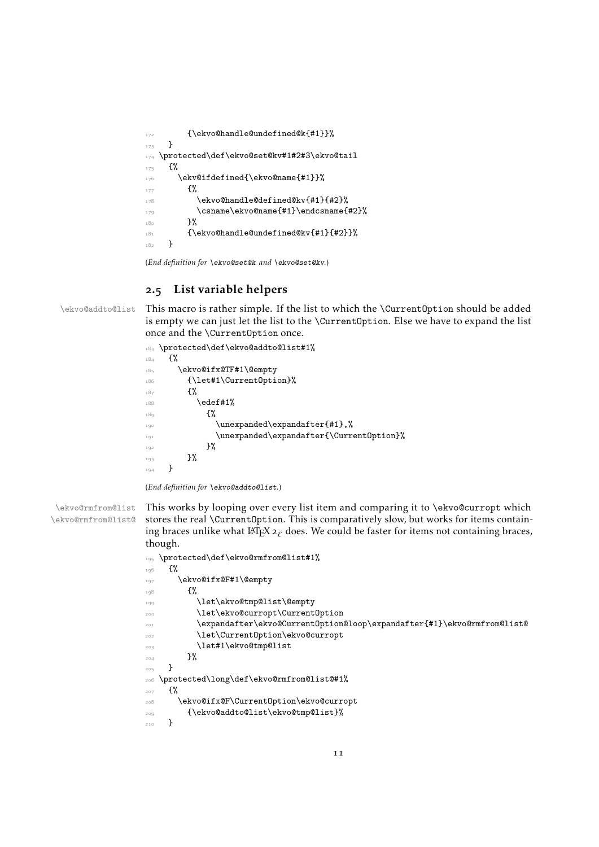```
172 {\ekvo@handle@undefined@k{#1}}%
173 }
174 \protected\def\ekvo@set@kv#1#2#3\ekvo@tail
175 \frac{1}{6}176 \ekv@ifdefined{\ekvo@name{#1}}%
177 \{ \%178 \ekvo@handle@defined@kv{#1}{#2}%
179 \csname\ekvo@name{#1}\endcsname{#2}%
180 }%
181 {\ekvo@handle@undefined@kv{#1}{#2}}%
182 }
```
<span id="page-10-15"></span><span id="page-10-12"></span><span id="page-10-10"></span>(*End definition for* \ekvo@set@k *and* \ekvo@set@kv*.*)

#### <span id="page-10-7"></span><span id="page-10-0"></span>2.5 List variable helpers

\ekvo@addto@list This macro is rather simple. If the list to which the \CurrentOption should be added is empty we can just let the list to the \CurrentOption. Else we have to expand the list once and the \CurrentOption once.

```
183 \protected\def\ekvo@addto@list#1%
184 \frac{1}{8}185 \ekvo@ifx@TF#1\@empty
186 {\let#1\CurrentOption}%
187 {%
\text{188} \edef#1%
18\alpha \{ \%\lambda_{190} \unexpanded\expandafter{#1}, %
191 \unexpanded\expandafter{\CurrentOption}%
192 }%
193 }%
194 }
```
<span id="page-10-16"></span><span id="page-10-2"></span>(*End definition for* \ekvo@addto@list*.*)

```
\ekvo@rmfrom@list
\ekvo@rmfrom@list@
                       This works by looping over every list item and comparing it to \ekvo@curropt which
                       stores the real \CurrentOption. This is comparatively slow, but works for items contain-
                       ing braces unlike what \mathbb{E} \text{Tr} X \, \mathbf{2}_{\varepsilon} does. We could be faster for items not containing braces,
                       though.
                       195 \protected\def\ekvo@rmfrom@list#1%
```
<span id="page-10-19"></span><span id="page-10-18"></span><span id="page-10-13"></span><span id="page-10-9"></span><span id="page-10-8"></span><span id="page-10-5"></span><span id="page-10-4"></span><span id="page-10-3"></span>

| 196 | {%                                                                     |
|-----|------------------------------------------------------------------------|
| 197 | \ekvo@ifx@F#1\@empty                                                   |
| 198 | £%                                                                     |
| 199 | \let\ekvo@tmp@list\@empty                                              |
| 200 | \let\ekvo@curropt\Current0ption                                        |
| 201 | \expandafter\ekvo@Current0ption@loop\expandafter{#1}\ekvo@rmfrom@list@ |
| 202 | \let\CurrentOption\ekvo@curropt                                        |
| 203 | \let#1\ekvo@tmp@list                                                   |
| 204 | }%                                                                     |
| 205 |                                                                        |
| 206 | \protected\long\def\ekvo@rmfrom@list@#1%                               |
| 207 | £%                                                                     |
| 208 | \ekvo@ifx@F\Current0ption\ekvo@curropt                                 |
| 209 | {\ekvo@addto@list\ekvo@tmp@list}%                                      |
| 210 | }                                                                      |
|     |                                                                        |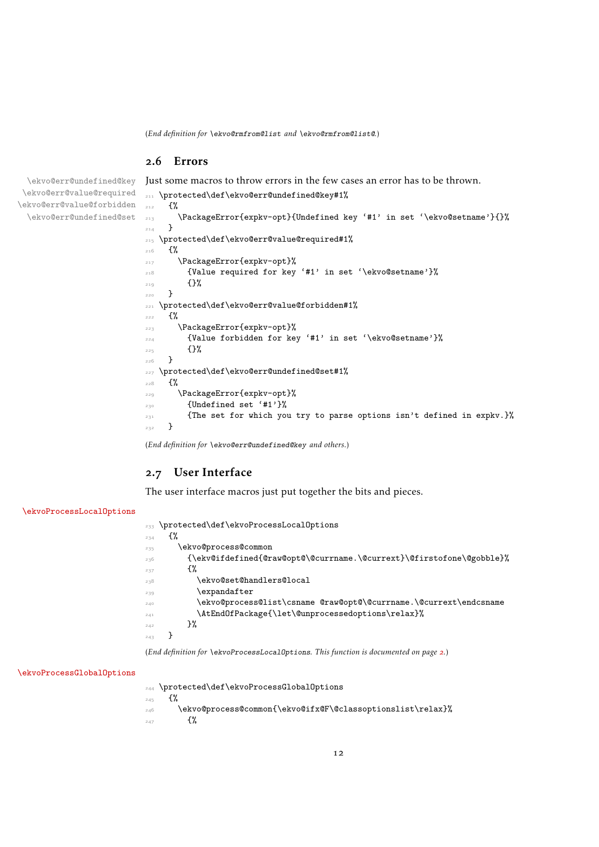(*End definition for* \ekvo@rmfrom@list *and* \ekvo@rmfrom@list@*.*)

211 \protected\def\ekvo@err@undefined@key#1%

#### <span id="page-11-0"></span>.6 Errors

<span id="page-11-5"></span>Just some macros to throw errors in the few cases an error has to be thrown.

```
\ekvo@err@value@required
\ekvo@err@value@forbidden
 \ekvo@err@undefined@set
```
\ekvo@err@undefined@key

```
212 {%
213 \PackageError{expkv-opt}{Undefined key '#1' in set '\ekvo@setname'}{}%
214 }
215 \protected\def\ekvo@err@value@required#1%
216 \frac{10}{2}217 \PackageError{expkv-opt}%
218 {Value required for key '#1' in set '\ekvo@setname'}%
219 \{ \} \%220 }
221 \protected\def\ekvo@err@value@forbidden#1%
222 \frac{1}{2}223 \PackageError{expkv-opt}%
224 {Value forbidden for key '#1' in set '\ekvo@setname'}%
225 \{ \}%
226 }
227 \protected\def\ekvo@err@undefined@set#1%
228 {%
229 \PackageError{expkv-opt}%
230 {Undefined set '#1'}%
231 {The set for which you try to parse options isn't defined in expkv.}%
232 - 3
```
<span id="page-11-12"></span>(*End definition for* \ekvo@err@undefined@key *and others.*)

### <span id="page-11-1"></span>.7 User Interface

The user interface macros just put together the bits and pieces.

#### [\ekvoProcessLocalOptions](#page-1-2)

<span id="page-11-9"></span><span id="page-11-7"></span><span id="page-11-4"></span><span id="page-11-3"></span>

| 233 | \protected\def\ekvoProcessLocalOptions                                   |
|-----|--------------------------------------------------------------------------|
| 234 | £%                                                                       |
| 235 | \ekvo@process@common                                                     |
| 236 | {\ekv@ifdefined{@raw@opt@\@currname.\@currext}\@firstofone\@gobble}%     |
| 237 | £%                                                                       |
| 238 | \ekvo@set@handlers@local                                                 |
| 239 | \expandafter                                                             |
| 240 | \ekvo@process@list\csname        @raw@opt@\@currname.\@currext\endcsname |
| 241 | \AtEndOfPackage{\let\@unprocessedoptions\relax}%                         |
| 242 | }%                                                                       |
| 243 |                                                                          |

<span id="page-11-8"></span>(*End definition for* \ekvoProcessLocalOptions*. This function is documented on page [2](#page-1-2).*)

#### [\ekvoProcessGlobalOptions](#page-2-1)

<span id="page-11-2"></span>\protected\def\ekvoProcessGlobalOptions

 $\frac{1}{2}$ 

- <span id="page-11-6"></span> $\verb|246| > \verb|ekvo@process@common{\ekvo@ifx@F\@classoptionslist\relax}\%$
- $\{$ %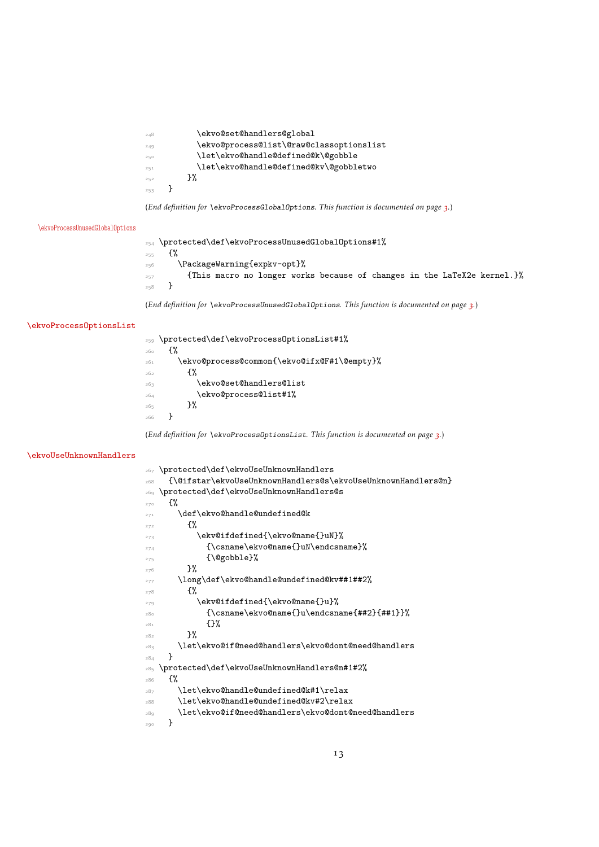<span id="page-12-18"></span><span id="page-12-16"></span><span id="page-12-8"></span><span id="page-12-7"></span>

| 248 | \ekvo@set@handlers@global                |
|-----|------------------------------------------|
| 249 | \ekvo@process@list\@raw@classoptionslist |
| 250 | \let\ekvo@handle@defined@k\@gobble       |
| 251 | \let\ekvo@handle@defined@kv\@gobbletwo   |
| 252 | ን%                                       |
| 253 |                                          |
|     |                                          |

(*End definition for* \ekvoProcessGlobalOptions*. This function is documented on page [3](#page-2-1).*)

#### [\ekvoProcessUnusedGlobalOptions](#page-2-2)

<span id="page-12-1"></span> \protected\def\ekvoProcessUnusedGlobalOptions#1% {% \PackageWarning{expkv-opt}% <sup>257</sup> {This macro no longer works because of changes in the LaTeX2e kernel.}% }

(*End definition for* \ekvoProcessUnusedGlobalOptions*. This function is documented on page [3](#page-2-2).*)

#### [\ekvoProcessOptionsList](#page-2-3)

<span id="page-12-19"></span><span id="page-12-13"></span><span id="page-12-0"></span>

| 259 | \protected\def\ekvoProcessOptionsList#1%    |
|-----|---------------------------------------------|
| 260 | ብ"                                          |
| 261 | \ekvo@process@common{\ekvo@ifx@F#1\@empty}% |
| 262 | ብ"                                          |
| 263 | \ekvo@set@handlers@list                     |
| 264 | \ekvo@process@list#1%                       |
| 265 | }%                                          |
| 266 |                                             |
|     |                                             |

<span id="page-12-17"></span>(*End definition for* \ekvoProcessOptionsList*. This function is documented on page [3](#page-2-3).*)

#### [\ekvoUseUnknownHandlers](#page-2-4)

<span id="page-12-22"></span><span id="page-12-21"></span><span id="page-12-20"></span><span id="page-12-15"></span><span id="page-12-14"></span><span id="page-12-12"></span><span id="page-12-11"></span><span id="page-12-10"></span><span id="page-12-9"></span><span id="page-12-6"></span><span id="page-12-5"></span><span id="page-12-4"></span><span id="page-12-3"></span><span id="page-12-2"></span>

| 267 | \protected\def\ekvoUseUnknownHandlers                        |
|-----|--------------------------------------------------------------|
| 268 | {\@ifstar\ekvoUseUnknownHandlers@s\ekvoUseUnknownHandlers@n} |
| 269 | \protected\def\ekvoUseUnknownHandlers@s                      |
| 270 | £%                                                           |
| 271 | \def\ekvo@handle@undefined@k                                 |
| 272 | ₹%                                                           |
| 273 | \ekv@ifdefined{\ekvo@name{}uN}%                              |
| 274 | {\csname\ekvo@name{}uN\endcsname}%                           |
| 275 | {\@gobble}%                                                  |
| 276 | }%                                                           |
| 277 | \long\def\ekvo@handle@undefined@kv##1##2%                    |
| 278 | ₹%                                                           |
| 279 | \ekv@ifdefined{\ekvo@name{}u}%                               |
| 280 | $\{\cscne\ekvo@name{\}u\end{c}$ sname $\{$ ##2}{##1}}%       |
| 281 | {ን%                                                          |
| 282 | }‰                                                           |
| 283 | \let\ekvo@if@need@handlers\ekvo@dont@need@handlers           |
| 284 | ι                                                            |
| 285 | \protected\def\ekvoUseUnknownHandlers@n#1#2%                 |
| 286 | ſ%                                                           |
| 287 | \let\ekvo@handle@undefined@k#1\relax                         |
| 288 | \let\ekvo@handle@undefined@kv#2\relax                        |
| 28a | \let\ekvo@if@need@handlers\ekvo@dont@need@handlers           |
| 290 | }                                                            |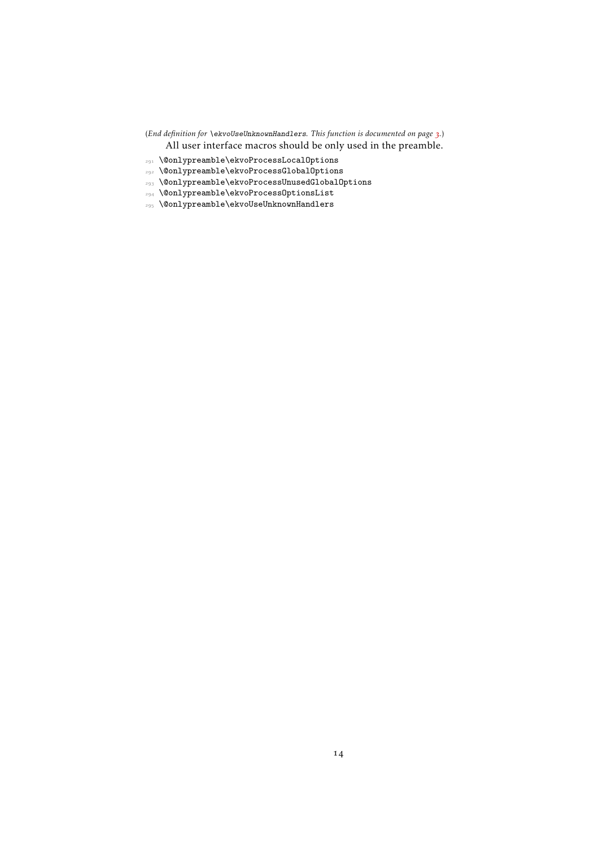(*End definition for* \ekvoUseUnknownHandlers*. This function is documented on page [3](#page-2-4).*) All user interface macros should be only used in the preamble.

- <span id="page-13-1"></span> $_{\text{291}}$  \@onlypreamble\ekvoProcessLocalOptions
- <span id="page-13-0"></span>\@onlypreamble\ekvoProcessGlobalOptions
- <span id="page-13-3"></span>\@onlypreamble\ekvoProcessUnusedGlobalOptions
- <span id="page-13-2"></span>\@onlypreamble\ekvoProcessOptionsList
- <span id="page-13-4"></span>\@onlypreamble\ekvoUseUnknownHandlers